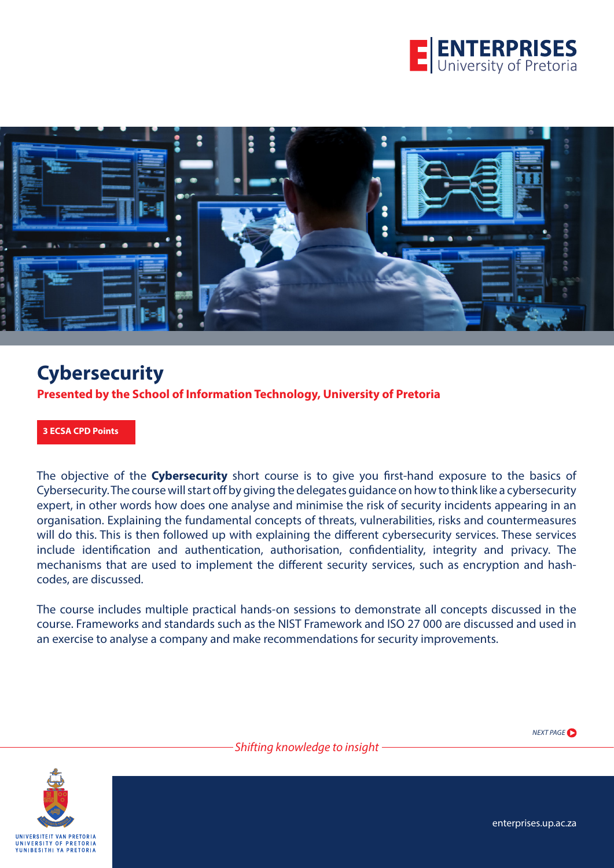



**Presented by the School of Information Technology, University of Pretoria**

**3 ECSA CPD Points** 

The objective of the **Cybersecurity** short course is to give you first-hand exposure to the basics of Cybersecurity. The course will start off by giving the delegates guidance on how to think like a cybersecurity expert, in other words how does one analyse and minimise the risk of security incidents appearing in an organisation. Explaining the fundamental concepts of threats, vulnerabilities, risks and countermeasures will do this. This is then followed up with explaining the different cybersecurity services. These services include identification and authentication, authorisation, confidentiality, integrity and privacy. The mechanisms that are used to implement the different security services, such as encryption and hashcodes, are discussed.

The course includes multiple practical hands-on sessions to demonstrate all concepts discussed in the course. Frameworks and standards such as the NIST Framework and ISO 27 000 are discussed and used in an exercise to analyse a company and make recommendations for security improvements.



*NEXT PAGE*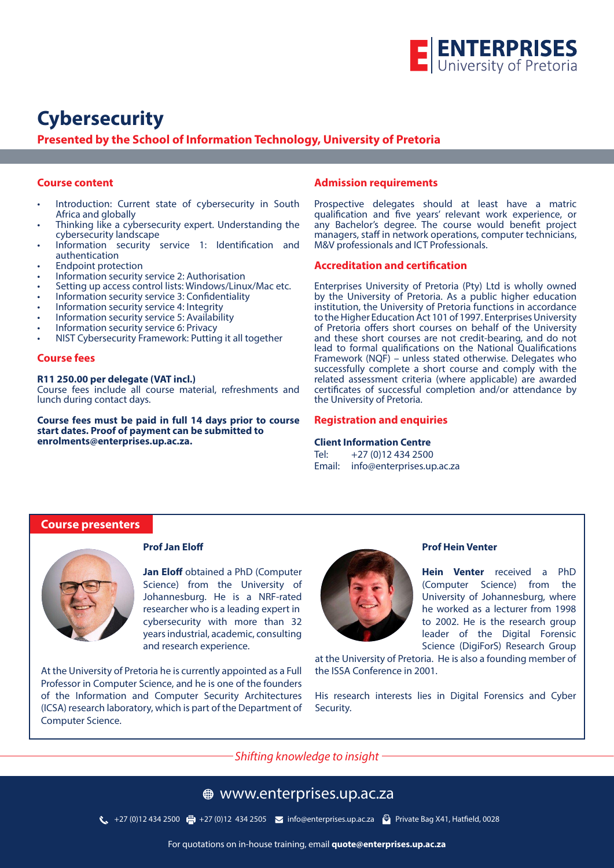

**Presented by the School of Information Technology, University of Pretoria**

### **Course content**

- Introduction: Current state of cybersecurity in South Africa and globally
- Thinking like a cybersecurity expert. Understanding the cybersecurity landscape
- Information security service 1: Identification and authentication
- Endpoint protection
- Information security service 2: Authorisation
- Setting up access control lists: Windows/Linux/Mac etc.
- Information security service 3: Confidentiality
- Information security service 4: Integrity
- Information security service 5: Availability
- Information security service 6: Privacy
- NIST Cybersecurity Framework: Putting it all together

#### **Course fees**

#### **R11 250.00 per delegate (VAT incl.)**

Course fees include all course material, refreshments and lunch during contact days.

**Course fees must be paid in full 14 days prior to course start dates. Proof of payment can be submitted to enrolments@enterprises.up.ac.za.**

#### **Admission requirements**

Prospective delegates should at least have a matric qualification and five years' relevant work experience, or any Bachelor's degree. The course would benefit project managers, staff in network operations, computer technicians, M&V professionals and ICT Professionals.

#### **Accreditation and certification**

Enterprises University of Pretoria (Pty) Ltd is wholly owned by the University of Pretoria. As a public higher education institution, the University of Pretoria functions in accordance to the Higher Education Act 101 of 1997. Enterprises University of Pretoria offers short courses on behalf of the University and these short courses are not credit-bearing, and do not lead to formal qualifications on the National Qualifications Framework (NQF) – unless stated otherwise. Delegates who successfully complete a short course and comply with the related assessment criteria (where applicable) are awarded certificates of successful completion and/or attendance by the University of Pretoria.

#### **Registration and enquiries**

**Client Information Centre** Tel: +27 (0)12 434 2500 Email: info@enterprises.up.ac.za

### **Course presenters**



#### **Prof Jan Eloff**

**Jan Eloff** obtained a PhD (Computer Science) from the University of Johannesburg. He is a NRF-rated researcher who is a leading expert in cybersecurity with more than 32 years industrial, academic, consulting and research experience.

At the University of Pretoria he is currently appointed as a Full Professor in Computer Science, and he is one of the founders of the Information and Computer Security Architectures (ICSA) research laboratory, which is part of the Department of Computer Science.



#### **Prof Hein Venter**

**Hein Venter** received a PhD (Computer Science) from the University of Johannesburg, where he worked as a lecturer from 1998 to 2002. He is the research group leader of the Digital Forensic Science (DigiForS) Research Group

at the University of Pretoria. He is also a founding member of the ISSA Conference in 2001.

His research interests lies in Digital Forensics and Cyber Security.

*Shifting knowledge to insight*

### www.enterprises.up.ac.za

127 (0)12 434 2500 +27 (0)12 434 2505 × info@enterprises.up.ac.za → Private Bag X41, Hatfield, 0028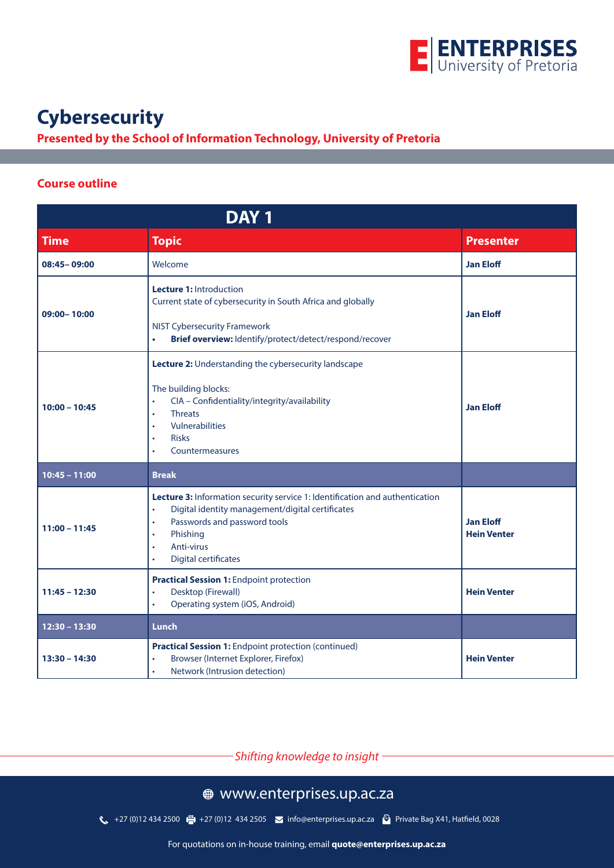

## **Presented by the School of Information Technology, University of Pretoria**

### **Course outline**

| DAY <sub>1</sub> |                                                                                                                                                                                                                                                                                            |                                        |
|------------------|--------------------------------------------------------------------------------------------------------------------------------------------------------------------------------------------------------------------------------------------------------------------------------------------|----------------------------------------|
| <b>Time</b>      | <b>Topic</b>                                                                                                                                                                                                                                                                               | <b>Presenter</b>                       |
| 08:45-09:00      | Welcome                                                                                                                                                                                                                                                                                    | <b>Jan Eloff</b>                       |
| 09:00-10:00      | <b>Lecture 1: Introduction</b><br>Current state of cybersecurity in South Africa and globally<br><b>NIST Cybersecurity Framework</b><br>Brief overview: Identify/protect/detect/respond/recover<br>$\bullet$                                                                               | <b>Jan Eloff</b>                       |
| $10:00 - 10:45$  | Lecture 2: Understanding the cybersecurity landscape<br>The building blocks:<br>CIA - Confidentiality/integrity/availability<br>$\bullet$<br><b>Threats</b><br>$\bullet$<br>Vulnerabilities<br>$\bullet$<br><b>Risks</b><br>$\bullet$<br>Countermeasures<br>$\bullet$                      | <b>Jan Eloff</b>                       |
| $10:45 - 11:00$  | <b>Break</b>                                                                                                                                                                                                                                                                               |                                        |
| $11:00 - 11:45$  | Lecture 3: Information security service 1: Identification and authentication<br>Digital identity management/digital certificates<br>$\bullet$<br>Passwords and password tools<br>$\bullet$<br>Phishing<br>$\bullet$<br>Anti-virus<br>$\bullet$<br><b>Digital certificates</b><br>$\bullet$ | <b>Jan Eloff</b><br><b>Hein Venter</b> |
| $11:45 - 12:30$  | <b>Practical Session 1: Endpoint protection</b><br>Desktop (Firewall)<br>$\bullet$<br>Operating system (iOS, Android)<br>$\bullet$                                                                                                                                                         | <b>Hein Venter</b>                     |
| $12:30 - 13:30$  | Lunch                                                                                                                                                                                                                                                                                      |                                        |
| $13:30 - 14:30$  | Practical Session 1: Endpoint protection (continued)<br>Browser (Internet Explorer, Firefox)<br>Network (Intrusion detection)                                                                                                                                                              | <b>Hein Venter</b>                     |

*Shifting knowledge to insight*

# www.enterprises.up.ac.za

127 (0)12 434 2500 (-1) +27 (0)12 434 2505 → info@enterprises.up.ac.za → Private Bag X41, Hatfield, 0028

For quotations on in-house training, email **quote@enterprises.up.ac.za**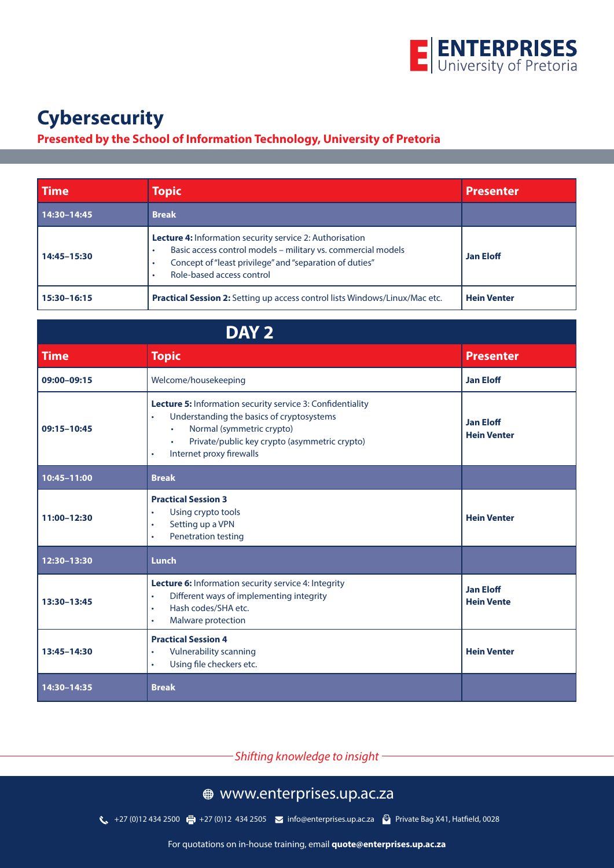

# **Presented by the School of Information Technology, University of Pretoria**

| <b>Time</b>     | <b>Topic</b>                                                                                                                                                                                                            | <b>Presenter</b>   |
|-----------------|-------------------------------------------------------------------------------------------------------------------------------------------------------------------------------------------------------------------------|--------------------|
| $14:30 - 14:45$ | <b>Break</b>                                                                                                                                                                                                            |                    |
| 14:45-15:30     | <b>Lecture 4:</b> Information security service 2: Authorisation<br>Basic access control models - military vs. commercial models<br>Concept of "least privilege" and "separation of duties"<br>Role-based access control | <b>Jan Eloff</b>   |
| 15:30-16:15     | <b>Practical Session 2:</b> Setting up access control lists Windows/Linux/Mac etc.                                                                                                                                      | <b>Hein Venter</b> |

| DAY <sub>2</sub> |                                                                                                                                                                                                                                                                              |                                        |
|------------------|------------------------------------------------------------------------------------------------------------------------------------------------------------------------------------------------------------------------------------------------------------------------------|----------------------------------------|
| <b>Time</b>      | <b>Topic</b>                                                                                                                                                                                                                                                                 | <b>Presenter</b>                       |
| 09:00-09:15      | Welcome/housekeeping                                                                                                                                                                                                                                                         | <b>Jan Eloff</b>                       |
| 09:15-10:45      | <b>Lecture 5:</b> Information security service 3: Confidentiality<br>Understanding the basics of cryptosystems<br>$\bullet$<br>Normal (symmetric crypto)<br>$\bullet$<br>Private/public key crypto (asymmetric crypto)<br>$\bullet$<br>Internet proxy firewalls<br>$\bullet$ | <b>Jan Eloff</b><br><b>Hein Venter</b> |
| 10:45-11:00      | <b>Break</b>                                                                                                                                                                                                                                                                 |                                        |
| 11:00-12:30      | <b>Practical Session 3</b><br>Using crypto tools<br>$\bullet$<br>Setting up a VPN<br>$\bullet$<br><b>Penetration testing</b><br>$\bullet$                                                                                                                                    | <b>Hein Venter</b>                     |
| 12:30-13:30      | Lunch                                                                                                                                                                                                                                                                        |                                        |
| 13:30-13:45      | Lecture 6: Information security service 4: Integrity<br>Different ways of implementing integrity<br>$\bullet$<br>Hash codes/SHA etc.<br>$\bullet$<br>Malware protection<br>$\bullet$                                                                                         | <b>Jan Eloff</b><br><b>Hein Vente</b>  |
| 13:45-14:30      | <b>Practical Session 4</b><br><b>Vulnerability scanning</b><br>$\bullet$<br>Using file checkers etc.<br>$\bullet$                                                                                                                                                            | <b>Hein Venter</b>                     |
| 14:30-14:35      | <b>Break</b>                                                                                                                                                                                                                                                                 |                                        |

*Shifting knowledge to insight*

# www.enterprises.up.ac.za

127 (0)12 434 2500 (-1) +27 (0)12 434 2505 → info@enterprises.up.ac.za → Private Bag X41, Hatfield, 0028